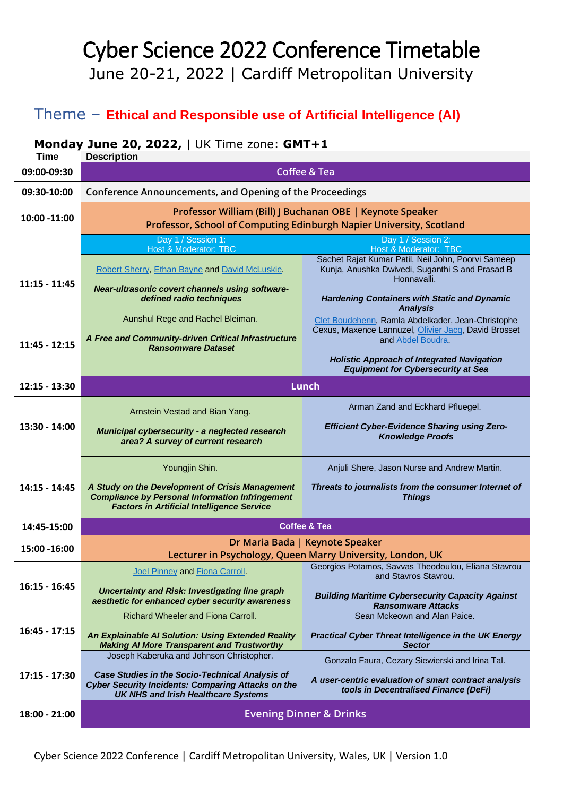## Cyber Science 2022 Conference Timetable June 20-21, 2022 | Cardiff Metropolitan University

## Theme – **Ethical and Responsible use of Artificial Intelligence (AI)**

## **Monday June 20, 2022,** | UK Time zone: **GMT+1**

| <b>Time</b>     | <b>Description</b>                                                                                                                                                                                            |                                                                                                                                                                                                                                  |  |  |  |
|-----------------|---------------------------------------------------------------------------------------------------------------------------------------------------------------------------------------------------------------|----------------------------------------------------------------------------------------------------------------------------------------------------------------------------------------------------------------------------------|--|--|--|
| 09:00-09:30     | <b>Coffee &amp; Tea</b>                                                                                                                                                                                       |                                                                                                                                                                                                                                  |  |  |  |
| 09:30-10:00     | Conference Announcements, and Opening of the Proceedings                                                                                                                                                      |                                                                                                                                                                                                                                  |  |  |  |
| 10:00 -11:00    | Professor William (Bill) J Buchanan OBE   Keynote Speaker<br>Professor, School of Computing Edinburgh Napier University, Scotland                                                                             |                                                                                                                                                                                                                                  |  |  |  |
|                 | Day 1 / Session 1:<br>Host & Moderator: TBC                                                                                                                                                                   | Day 1 / Session 2:<br>Host & Moderator: TBC                                                                                                                                                                                      |  |  |  |
| $11:15 - 11:45$ | Robert Sherry, Ethan Bayne and David McLuskie.<br>Near-ultrasonic covert channels using software-<br>defined radio techniques                                                                                 | Sachet Rajat Kumar Patil, Neil John, Poorvi Sameep<br>Kunja, Anushka Dwivedi, Suganthi S and Prasad B<br>Honnavalli.<br><b>Hardening Containers with Static and Dynamic</b><br><b>Analysis</b>                                   |  |  |  |
| $11:45 - 12:15$ | Aunshul Rege and Rachel Bleiman.<br>A Free and Community-driven Critical Infrastructure<br><b>Ransomware Dataset</b>                                                                                          | Clet Boudehenn, Ramla Abdelkader, Jean-Christophe<br>Cexus, Maxence Lannuzel, Olivier Jacq, David Brosset<br>and Abdel Boudra.<br><b>Holistic Approach of Integrated Navigation</b><br><b>Equipment for Cybersecurity at Sea</b> |  |  |  |
| $12:15 - 13:30$ | <b>Lunch</b>                                                                                                                                                                                                  |                                                                                                                                                                                                                                  |  |  |  |
| 13:30 - 14:00   | Arnstein Vestad and Bian Yang.<br>Municipal cybersecurity - a neglected research<br>area? A survey of current research                                                                                        | Arman Zand and Eckhard Pfluegel.<br><b>Efficient Cyber-Evidence Sharing using Zero-</b><br><b>Knowledge Proofs</b>                                                                                                               |  |  |  |
| 14:15 - 14:45   | Youngjin Shin.<br>A Study on the Development of Crisis Management<br><b>Compliance by Personal Information Infringement</b><br><b>Factors in Artificial Intelligence Service</b>                              | Anjuli Shere, Jason Nurse and Andrew Martin.<br>Threats to journalists from the consumer Internet of<br><b>Things</b>                                                                                                            |  |  |  |
| 14:45-15:00     | <b>Coffee &amp; Tea</b>                                                                                                                                                                                       |                                                                                                                                                                                                                                  |  |  |  |
| 15:00 - 16:00   | Dr Maria Bada   Keynote Speaker<br>Lecturer in Psychology, Queen Marry University, London, UK                                                                                                                 |                                                                                                                                                                                                                                  |  |  |  |
| $16:15 - 16:45$ | Joel Pinney and Fiona Carroll.<br>Uncertainty and Risk: Investigating line graph<br>aesthetic for enhanced cyber security awareness                                                                           | Georgios Potamos, Savvas Theodoulou, Eliana Stavrou<br>and Stavros Stavrou.<br><b>Building Maritime Cybersecurity Capacity Against</b><br><b>Ransomware Attacks</b>                                                              |  |  |  |
| $16:45 - 17:15$ | Richard Wheeler and Fiona Carroll.<br>An Explainable AI Solution: Using Extended Reality<br><b>Making AI More Transparent and Trustworthy</b>                                                                 | Sean Mckeown and Alan Paice.<br><b>Practical Cyber Threat Intelligence in the UK Energy</b><br><b>Sector</b>                                                                                                                     |  |  |  |
| $17:15 - 17:30$ | Joseph Kaberuka and Johnson Christopher.<br><b>Case Studies in the Socio-Technical Analysis of</b><br><b>Cyber Security Incidents: Comparing Attacks on the</b><br><b>UK NHS and Irish Healthcare Systems</b> | Gonzalo Faura, Cezary Siewierski and Irina Tal.<br>A user-centric evaluation of smart contract analysis<br>tools in Decentralised Finance (DeFi)                                                                                 |  |  |  |
| 18:00 - 21:00   | <b>Evening Dinner &amp; Drinks</b>                                                                                                                                                                            |                                                                                                                                                                                                                                  |  |  |  |